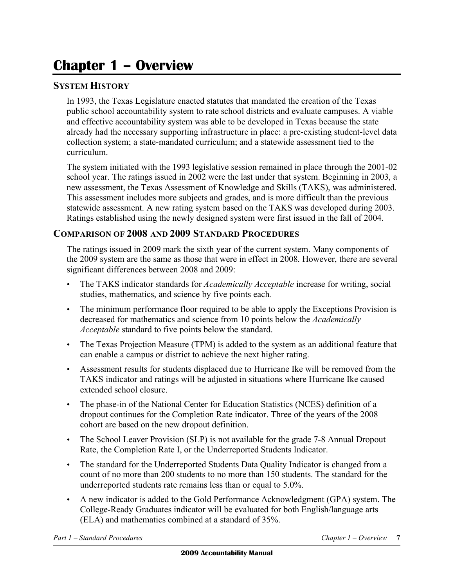## **Chapter 1 – Overview**

## **SYSTEM HISTORY**

 In 1993, the Texas Legislature enacted statutes that mandated the creation of the Texas public school accountability system to rate school districts and evaluate campuses. A viable and effective accountability system was able to be developed in Texas because the state already had the necessary supporting infrastructure in place: a pre-existing student-level data collection system; a state-mandated curriculum; and a statewide assessment tied to the curriculum.

 The system initiated with the 1993 legislative session remained in place through the 2001-02 school year. The ratings issued in 2002 were the last under that system. Beginning in 2003, a new assessment, the Texas Assessment of Knowledge and Skills (TAKS), was administered. This assessment includes more subjects and grades, and is more difficult than the previous statewide assessment. A new rating system based on the TAKS was developed during 2003. Ratings established using the newly designed system were first issued in the fall of 2004.

## **COMPARISON OF 2008 AND 2009 STANDARD PROCEDURES**

 The ratings issued in 2009 mark the sixth year of the current system. Many components of the 2009 system are the same as those that were in effect in 2008. However, there are several significant differences between 2008 and 2009:

- • The TAKS indicator standards for *Academically Acceptable* increase for writing, social studies, mathematics, and science by five points each*.*
- The minimum performance floor required to be able to apply the Exceptions Provision is decreased for mathematics and science from 10 points below the *Academically Acceptable* standard to five points below the standard.
- The Texas Projection Measure (TPM) is added to the system as an additional feature that can enable a campus or district to achieve the next higher rating.
- • Assessment results for students displaced due to Hurricane Ike will be removed from the TAKS indicator and ratings will be adjusted in situations where Hurricane Ike caused extended school closure.
- The phase-in of the National Center for Education Statistics (NCES) definition of a dropout continues for the Completion Rate indicator. Three of the years of the 2008 cohort are based on the new dropout definition.
- The School Leaver Provision (SLP) is not available for the grade 7-8 Annual Dropout Rate, the Completion Rate I, or the Underreported Students Indicator.
- The standard for the Underreported Students Data Quality Indicator is changed from a count of no more than 200 students to no more than 150 students. The standard for the underreported students rate remains less than or equal to 5.0%.
- • A new indicator is added to the Gold Performance Acknowledgment (GPA) system. The College-Ready Graduates indicator will be evaluated for both English/language arts (ELA) and mathematics combined at a standard of 35%.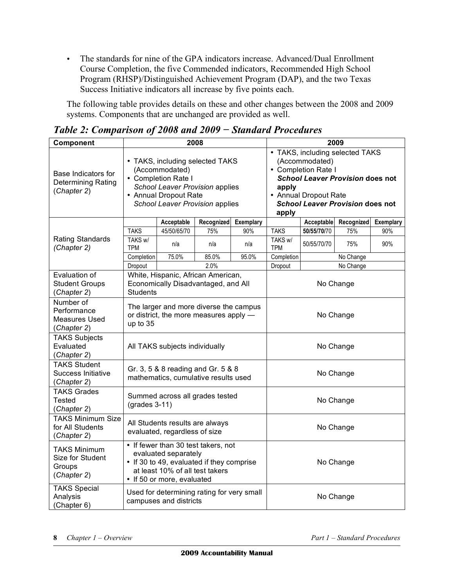• The standards for nine of the GPA indicators increase. Advanced/Dual Enrollment Course Completion, the five Commended indicators, Recommended High School Program (RHSP)/Distinguished Achievement Program (DAP), and the two Texas Success Initiative indicators all increase by five points each.

 The following table provides details on these and other changes between the 2008 and 2009 systems. Components that are unchanged are provided as well.

| Component                                                        | 2008                                                                                                                                                                      |                                                                                                                                                                         |            |           | 2009                                                                                                                                                                                                      |             |            |           |
|------------------------------------------------------------------|---------------------------------------------------------------------------------------------------------------------------------------------------------------------------|-------------------------------------------------------------------------------------------------------------------------------------------------------------------------|------------|-----------|-----------------------------------------------------------------------------------------------------------------------------------------------------------------------------------------------------------|-------------|------------|-----------|
| Base Indicators for<br><b>Determining Rating</b><br>(Chapter 2)  |                                                                                                                                                                           | • TAKS, including selected TAKS<br>(Accommodated)<br>• Completion Rate I<br>School Leaver Provision applies<br>• Annual Dropout Rate<br>School Leaver Provision applies |            |           | • TAKS, including selected TAKS<br>(Accommodated)<br>• Completion Rate I<br><b>School Leaver Provision does not</b><br>apply<br>• Annual Dropout Rate<br><b>School Leaver Provision does not</b><br>apply |             |            |           |
| Rating Standards<br>(Chapter 2)                                  |                                                                                                                                                                           | Acceptable                                                                                                                                                              | Recognized | Exemplary |                                                                                                                                                                                                           | Acceptable  | Recognized | Exemplary |
|                                                                  | <b>TAKS</b>                                                                                                                                                               | 45/50/65/70                                                                                                                                                             | 75%        | 90%       | <b>TAKS</b>                                                                                                                                                                                               | 50/55/70/70 | 75%        | 90%       |
|                                                                  | TAKS w/<br>TPM                                                                                                                                                            | n/a                                                                                                                                                                     | n/a        | n/a       | TAKS w/<br><b>TPM</b>                                                                                                                                                                                     | 50/55/70/70 | 75%        | 90%       |
|                                                                  | Completion                                                                                                                                                                | 75.0%                                                                                                                                                                   | 85.0%      | 95.0%     | Completion                                                                                                                                                                                                |             | No Change  |           |
|                                                                  | Dropout                                                                                                                                                                   |                                                                                                                                                                         | 2.0%       |           | Dropout                                                                                                                                                                                                   | No Change   |            |           |
| Evaluation of<br><b>Student Groups</b><br>(Chapter 2)            | <b>Students</b>                                                                                                                                                           | White, Hispanic, African American,<br>Economically Disadvantaged, and All                                                                                               |            |           | No Change                                                                                                                                                                                                 |             |            |           |
| Number of<br>Performance<br>Measures Used<br>(Chapter 2)         | up to 35                                                                                                                                                                  | The larger and more diverse the campus<br>or district, the more measures apply -                                                                                        |            |           | No Change                                                                                                                                                                                                 |             |            |           |
| <b>TAKS Subjects</b><br>Evaluated<br>(Chapter 2)                 |                                                                                                                                                                           | All TAKS subjects individually                                                                                                                                          |            |           | No Change                                                                                                                                                                                                 |             |            |           |
| <b>TAKS Student</b><br>Success Initiative<br>(Chapter 2)         |                                                                                                                                                                           | Gr. 3, 5 & 8 reading and Gr. 5 & 8<br>mathematics, cumulative results used                                                                                              |            |           | No Change                                                                                                                                                                                                 |             |            |           |
| <b>TAKS Grades</b><br><b>Tested</b><br>(Chapter 2)               | $(grades 3-11)$                                                                                                                                                           | Summed across all grades tested                                                                                                                                         |            |           | No Change                                                                                                                                                                                                 |             |            |           |
| <b>TAKS Minimum Size</b><br>for All Students<br>(Chapter 2)      | All Students results are always<br>evaluated, regardless of size                                                                                                          |                                                                                                                                                                         |            |           | No Change                                                                                                                                                                                                 |             |            |           |
| <b>TAKS Minimum</b><br>Size for Student<br>Groups<br>(Chapter 2) | • If fewer than 30 test takers, not<br>evaluated separately<br>• If 30 to 49, evaluated if they comprise<br>at least 10% of all test takers<br>• If 50 or more, evaluated |                                                                                                                                                                         |            |           | No Change                                                                                                                                                                                                 |             |            |           |
| <b>TAKS Special</b><br>Analysis<br>(Chapter 6)                   | Used for determining rating for very small<br>campuses and districts                                                                                                      |                                                                                                                                                                         |            | No Change |                                                                                                                                                                                                           |             |            |           |

 *Table 2: Comparison of 2008 and 2009 − Standard Procedures*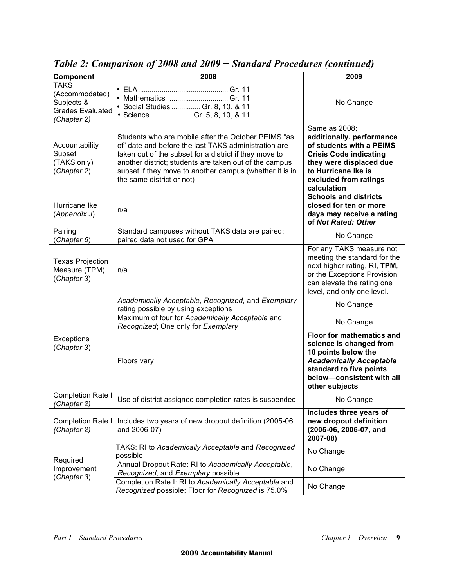| Component                                                       | ruote 2. Comparison of 2000 and 2007<br>$D$ <i>latitude a Toccami</i> C <sub>2</sub> (contentacu)<br>2008                                                                                                                                                                                                               | 2009                                                                                                                                                                                              |  |
|-----------------------------------------------------------------|-------------------------------------------------------------------------------------------------------------------------------------------------------------------------------------------------------------------------------------------------------------------------------------------------------------------------|---------------------------------------------------------------------------------------------------------------------------------------------------------------------------------------------------|--|
| <b>TAKS</b>                                                     |                                                                                                                                                                                                                                                                                                                         |                                                                                                                                                                                                   |  |
| (Accommodated)<br>Subjects &<br>Grades Evaluated<br>(Chapter 2) | • Mathematics  Gr. 11<br>• Social Studies  Gr. 8, 10, & 11<br>• ScienceGr. 5, 8, 10, & 11                                                                                                                                                                                                                               | No Change                                                                                                                                                                                         |  |
| Accountability<br>Subset<br>(TAKS only)<br>(Chapter 2)          | Students who are mobile after the October PEIMS "as<br>of" date and before the last TAKS administration are<br>taken out of the subset for a district if they move to<br>another district; students are taken out of the campus<br>subset if they move to another campus (whether it is in<br>the same district or not) | Same as 2008;<br>additionally, performance<br>of students with a PEIMS<br><b>Crisis Code indicating</b><br>they were displaced due<br>to Hurricane Ike is<br>excluded from ratings<br>calculation |  |
| Hurricane Ike<br>(Appendix J)                                   | n/a                                                                                                                                                                                                                                                                                                                     | <b>Schools and districts</b><br>closed for ten or more<br>days may receive a rating<br>of Not Rated: Other                                                                                        |  |
| Pairing<br>(Chapter 6)                                          | Standard campuses without TAKS data are paired;<br>paired data not used for GPA                                                                                                                                                                                                                                         | No Change                                                                                                                                                                                         |  |
| <b>Texas Projection</b><br>Measure (TPM)<br>(Chapter 3)         | n/a                                                                                                                                                                                                                                                                                                                     | For any TAKS measure not<br>meeting the standard for the<br>next higher rating, RI, TPM,<br>or the Exceptions Provision<br>can elevate the rating one<br>level, and only one level.               |  |
| Exceptions<br>(Chapter 3)                                       | Academically Acceptable, Recognized, and Exemplary<br>rating possible by using exceptions                                                                                                                                                                                                                               | No Change                                                                                                                                                                                         |  |
|                                                                 | Maximum of four for Academically Acceptable and<br>Recognized; One only for Exemplary                                                                                                                                                                                                                                   | No Change                                                                                                                                                                                         |  |
|                                                                 | Floors vary                                                                                                                                                                                                                                                                                                             | <b>Floor for mathematics and</b><br>science is changed from<br>10 points below the<br><b>Academically Acceptable</b><br>standard to five points<br>below-consistent with all<br>other subjects    |  |
| Completion Rate I<br>(Chapter 2)                                | Use of district assigned completion rates is suspended                                                                                                                                                                                                                                                                  | No Change                                                                                                                                                                                         |  |
| Completion Rate I<br>(Chapter 2)                                | Includes two years of new dropout definition (2005-06<br>and 2006-07)                                                                                                                                                                                                                                                   | Includes three years of<br>new dropout definition<br>(2005-06, 2006-07, and<br>2007-08)                                                                                                           |  |
| Required<br>Improvement<br>(Chapter 3)                          | TAKS: RI to Academically Acceptable and Recognized<br>possible                                                                                                                                                                                                                                                          | No Change                                                                                                                                                                                         |  |
|                                                                 | Annual Dropout Rate: RI to Academically Acceptable,<br>Recognized, and Exemplary possible                                                                                                                                                                                                                               | No Change                                                                                                                                                                                         |  |
|                                                                 | Completion Rate I: RI to Academically Acceptable and<br>Recognized possible; Floor for Recognized is 75.0%                                                                                                                                                                                                              | No Change                                                                                                                                                                                         |  |

 *Table 2: Comparison of 2008 and 2009 − Standard Procedures (continued)*